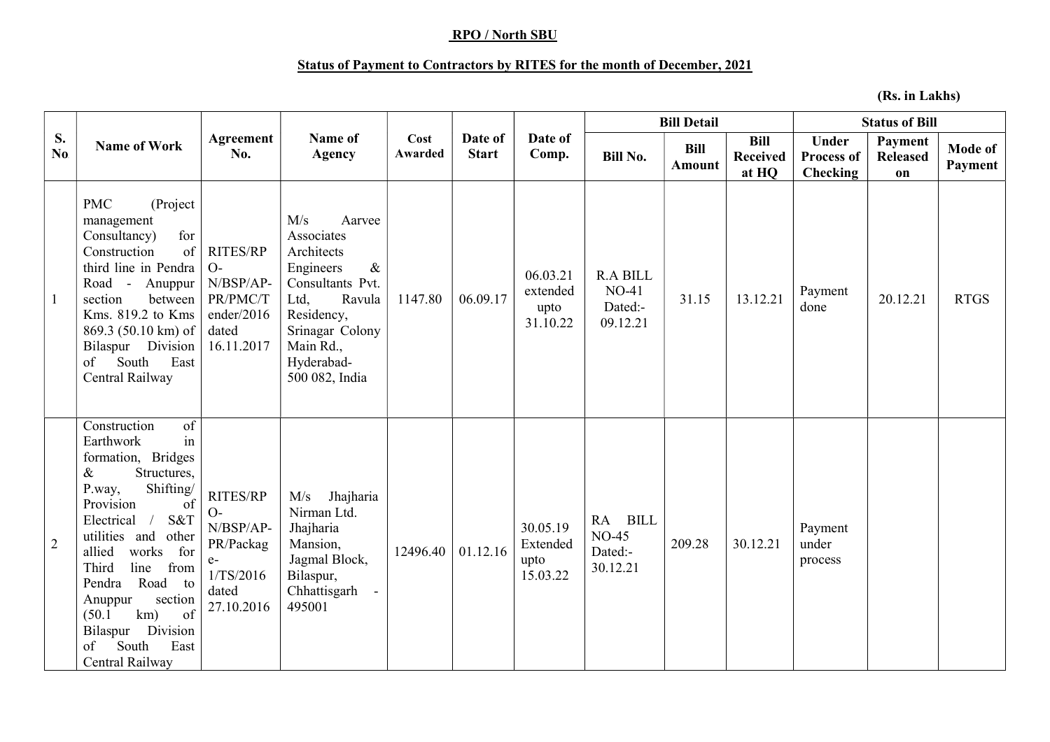## RPO / North SBU

## Status of Payment to Contractors by RITES for the month of December, 2021

(Rs. in Lakhs)

| S.<br>No.      | <b>Name of Work</b>                                                                                                                                                                                                                                                                                                                                                        | Agreement<br>No.                                                                       | Name of<br><b>Agency</b>                                                                                                                                                           | Cost<br>Awarded | Date of<br><b>Start</b> | Date of<br>Comp.                         | <b>Bill Detail</b>                                |                       |                                         | <b>Status of Bill</b>                         |                                  |                           |
|----------------|----------------------------------------------------------------------------------------------------------------------------------------------------------------------------------------------------------------------------------------------------------------------------------------------------------------------------------------------------------------------------|----------------------------------------------------------------------------------------|------------------------------------------------------------------------------------------------------------------------------------------------------------------------------------|-----------------|-------------------------|------------------------------------------|---------------------------------------------------|-----------------------|-----------------------------------------|-----------------------------------------------|----------------------------------|---------------------------|
|                |                                                                                                                                                                                                                                                                                                                                                                            |                                                                                        |                                                                                                                                                                                    |                 |                         |                                          | <b>Bill No.</b>                                   | <b>Bill</b><br>Amount | <b>Bill</b><br><b>Received</b><br>at HQ | <b>Under</b><br><b>Process of</b><br>Checking | Payment<br><b>Released</b><br>on | <b>Mode of</b><br>Payment |
| $\mathbf{1}$   | (Project<br><b>PMC</b><br>management<br>for<br>Consultancy)<br>of<br>Construction<br>third line in Pendra<br>Road - Anuppur<br>section<br>between<br>Kms. 819.2 to Kms<br>869.3 (50.10 km) of<br>Bilaspur Division<br>East<br>South<br>of<br>Central Railway                                                                                                               | <b>RITES/RP</b><br>$O-$<br>N/BSP/AP-<br>PR/PMC/T<br>ender/2016<br>dated<br>16.11.2017  | M/s<br>Aarvee<br>Associates<br>Architects<br>Engineers<br>$\&$<br>Consultants Pvt.<br>Ltd,<br>Ravula<br>Residency,<br>Srinagar Colony<br>Main Rd.,<br>Hyderabad-<br>500 082, India | 1147.80         | 06.09.17                | 06.03.21<br>extended<br>upto<br>31.10.22 | <b>R.A BILL</b><br>$NO-41$<br>Dated:-<br>09.12.21 | 31.15                 | 13.12.21                                | Payment<br>done                               | 20.12.21                         | <b>RTGS</b>               |
| $\overline{2}$ | Construction<br>of<br>in<br>Earthwork<br>formation, Bridges<br>Structures,<br>&<br>Shifting/<br>P.way,<br>Provision<br>of<br>Electrical<br>S&T<br>$\sqrt{2}$<br>utilities and<br>other<br>works<br>for<br>allied<br>line<br>Third<br>from<br>Road to<br>Pendra<br>section<br>Anuppur<br>km)<br>of<br>(50.1)<br>Bilaspur Division<br>South<br>East<br>of<br>Central Railway | RITES/RP<br>$O-$<br>N/BSP/AP-<br>PR/Packag<br>$e-$<br>1/TS/2016<br>dated<br>27.10.2016 | Jhajharia<br>M/s<br>Nirman Ltd.<br>Jhajharia<br>Mansion,<br>Jagmal Block,<br>Bilaspur,<br>Chhattisgarh<br>495001                                                                   | 12496.40        | 01.12.16                | 30.05.19<br>Extended<br>upto<br>15.03.22 | RA BILL<br>$NO-45$<br>Dated:-<br>30.12.21         | 209.28                | 30.12.21                                | Payment<br>under<br>process                   |                                  |                           |